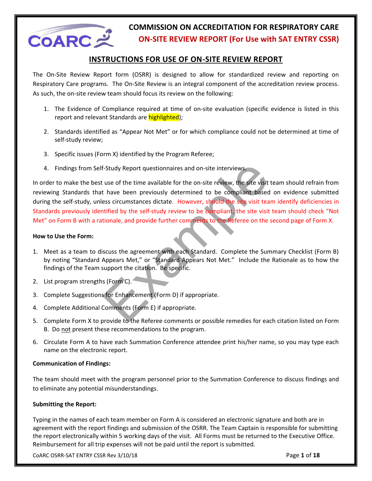

## **INSTRUCTIONS FOR USE OF ON-SITE REVIEW REPORT**

The On-Site Review Report form (OSRR) is designed to allow for standardized review and reporting on Respiratory Care programs. The On-Site Review is an integral component of the accreditation review process. As such, the on-site review team should focus its review on the following:

- 1. The Evidence of Compliance required at time of on-site evaluation (specific evidence is listed in this report and relevant Standards are highlighted);
- 2. Standards identified as "Appear Not Met" or for which compliance could not be determined at time of self-study review;
- 3. Specific issues (Form X) identified by the Program Referee;
- 4. Findings from Self-Study Report questionnaires and on-site interviews.

F-Study Report questionnaires and on-site interviews.<br>
The study Report questionnaires and on-site review, the site visit team shall that the been previously determined to be compliant based on evident<br>
that have been prev In order to make the best use of the time available for the on-site review, the site visit team should refrain from reviewing Standards that have been previously determined to be compliant based on evidence submitted during the self-study, unless circumstances dictate. However, should the site visit team identify deficiencies in Standards previously identified by the self-study review to be compliant, the site visit team should check "Not Met" on Form B with a rationale, and provide further comments to the Referee on the second page of Form X.

## **How to Use the Form:**

- 1. Meet as a team to discuss the agreement with each Standard. Complete the Summary Checklist (Form B) by noting "Standard Appears Met," or "Standard Appears Not Met." Include the Rationale as to how the findings of the Team support the citation. Be specific.
- 2. List program strengths (Form C).
- 3. Complete Suggestions for Enhancement (Form D) if appropriate.
- 4. Complete Additional Comments (Form E) if appropriate.
- 5. Complete Form X to provide to the Referee comments or possible remedies for each citation listed on Form B. Do not present these recommendations to the program.
- 6. Circulate Form A to have each Summation Conference attendee print his/her name, so you may type each name on the electronic report.

## **Communication of Findings:**

The team should meet with the program personnel prior to the Summation Conference to discuss findings and to eliminate any potential misunderstandings.

## **Submitting the Report:**

Typing in the names of each team member on Form A is considered an electronic signature and both are in agreement with the report findings and submission of the OSRR. The Team Captain is responsible for submitting the report electronically within 5 working days of the visit. All Forms must be returned to the Executive Office. Reimbursement for all trip expenses will not be paid until the report is submitted.

CoARC OSRR-SAT ENTRY CSSR Rev 3/10/18 Page **1** of **18**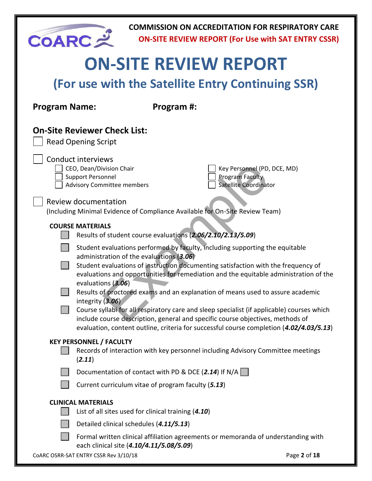| <b>COARC</b>                                                                                                                                                                                                                                                                                                                                                                                                                                                                                                                                                                                                                                                                                                                                                                                            |                                                                                                                        |                                                      | <b>COMMISSION ON ACCREDITATION FOR RESPIRATORY CARE</b><br><b>ON-SITE REVIEW REPORT (For Use with SAT ENTRY CSSR)</b> |              |
|---------------------------------------------------------------------------------------------------------------------------------------------------------------------------------------------------------------------------------------------------------------------------------------------------------------------------------------------------------------------------------------------------------------------------------------------------------------------------------------------------------------------------------------------------------------------------------------------------------------------------------------------------------------------------------------------------------------------------------------------------------------------------------------------------------|------------------------------------------------------------------------------------------------------------------------|------------------------------------------------------|-----------------------------------------------------------------------------------------------------------------------|--------------|
|                                                                                                                                                                                                                                                                                                                                                                                                                                                                                                                                                                                                                                                                                                                                                                                                         |                                                                                                                        |                                                      | <b>ON-SITE REVIEW REPORT</b>                                                                                          |              |
|                                                                                                                                                                                                                                                                                                                                                                                                                                                                                                                                                                                                                                                                                                                                                                                                         |                                                                                                                        |                                                      | (For use with the Satellite Entry Continuing SSR)                                                                     |              |
| <b>Program Name:</b>                                                                                                                                                                                                                                                                                                                                                                                                                                                                                                                                                                                                                                                                                                                                                                                    |                                                                                                                        | Program #:                                           |                                                                                                                       |              |
|                                                                                                                                                                                                                                                                                                                                                                                                                                                                                                                                                                                                                                                                                                                                                                                                         | <b>On-Site Reviewer Check List:</b><br><b>Read Opening Script</b>                                                      |                                                      |                                                                                                                       |              |
|                                                                                                                                                                                                                                                                                                                                                                                                                                                                                                                                                                                                                                                                                                                                                                                                         | <b>Conduct interviews</b><br>CEO, Dean/Division Chair<br><b>Support Personnel</b><br><b>Advisory Committee members</b> |                                                      | Key Personnel (PD, DCE, MD)<br>Program Faculty<br><b>Satellite Coordinator</b>                                        |              |
|                                                                                                                                                                                                                                                                                                                                                                                                                                                                                                                                                                                                                                                                                                                                                                                                         | <b>Review documentation</b>                                                                                            |                                                      | (Including Minimal Evidence of Compliance Available for On-Site Review Team)                                          |              |
| <b>COURSE MATERIALS</b><br>Results of student course evaluations (2.06/2.10/2.13/5.09)<br>Student evaluations performed by faculty, including supporting the equitable<br>administration of the evaluations (3.06)<br>Student evaluations of instruction documenting satisfaction with the frequency of<br>evaluations and opportunities for remediation and the equitable administration of the<br>evaluations (3.06)<br>Results of proctored exams and an explanation of means used to assure academic<br>integrity (3.06)<br>Course syllabi for all respiratory care and sleep specialist (if applicable) courses which<br>include course description, general and specific course objectives, methods of<br>evaluation, content outline, criteria for successful course completion (4.02/4.03/5.13) |                                                                                                                        |                                                      |                                                                                                                       |              |
|                                                                                                                                                                                                                                                                                                                                                                                                                                                                                                                                                                                                                                                                                                                                                                                                         | <b>KEY PERSONNEL / FACULTY</b><br>(2.11)                                                                               |                                                      | Records of interaction with key personnel including Advisory Committee meetings                                       |              |
|                                                                                                                                                                                                                                                                                                                                                                                                                                                                                                                                                                                                                                                                                                                                                                                                         |                                                                                                                        | Documentation of contact with PD & DCE (2.14) If N/A |                                                                                                                       |              |
|                                                                                                                                                                                                                                                                                                                                                                                                                                                                                                                                                                                                                                                                                                                                                                                                         |                                                                                                                        | Current curriculum vitae of program faculty (5.13)   |                                                                                                                       |              |
|                                                                                                                                                                                                                                                                                                                                                                                                                                                                                                                                                                                                                                                                                                                                                                                                         | <b>CLINICAL MATERIALS</b>                                                                                              | List of all sites used for clinical training (4.10)  |                                                                                                                       |              |
|                                                                                                                                                                                                                                                                                                                                                                                                                                                                                                                                                                                                                                                                                                                                                                                                         |                                                                                                                        | Detailed clinical schedules (4.11/5.13)              |                                                                                                                       |              |
|                                                                                                                                                                                                                                                                                                                                                                                                                                                                                                                                                                                                                                                                                                                                                                                                         |                                                                                                                        | each clinical site (4.10/4.11/5.08/5.09)             | Formal written clinical affiliation agreements or memoranda of understanding with                                     |              |
|                                                                                                                                                                                                                                                                                                                                                                                                                                                                                                                                                                                                                                                                                                                                                                                                         | COARC OSRR-SAT ENTRY CSSR Rev 3/10/18                                                                                  |                                                      |                                                                                                                       | Page 2 of 18 |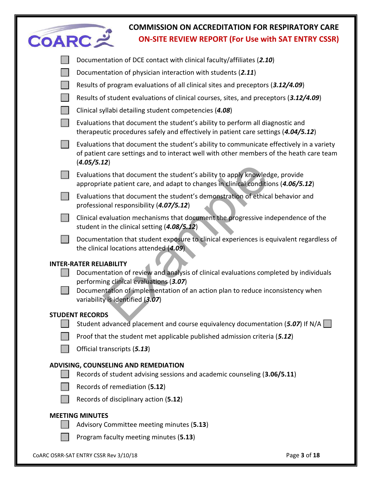| <b>COARC=</b> | <b>COMMISSION ON ACCREDITATION FOR RESPIRATORY CARE</b><br><b>ON-SITE REVIEW REPORT (For Use with SAT ENTRY CSSR)</b>                                                                                                                                                                   |              |
|---------------|-----------------------------------------------------------------------------------------------------------------------------------------------------------------------------------------------------------------------------------------------------------------------------------------|--------------|
|               | Documentation of DCE contact with clinical faculty/affiliates (2.10)                                                                                                                                                                                                                    |              |
|               | Documentation of physician interaction with students (2.11)                                                                                                                                                                                                                             |              |
|               | Results of program evaluations of all clinical sites and preceptors (3.12/4.09)                                                                                                                                                                                                         |              |
|               | Results of student evaluations of clinical courses, sites, and preceptors (3.12/4.09)                                                                                                                                                                                                   |              |
|               | Clinical syllabi detailing student competencies (4.08)                                                                                                                                                                                                                                  |              |
|               | Evaluations that document the student's ability to perform all diagnostic and<br>therapeutic procedures safely and effectively in patient care settings (4.04/5.12)                                                                                                                     |              |
|               | Evaluations that document the student's ability to communicate effectively in a variety<br>of patient care settings and to interact well with other members of the heath care team<br>(4.05/5.12)                                                                                       |              |
|               | Evaluations that document the student's ability to apply knowledge, provide<br>appropriate patient care, and adapt to changes in clinical conditions (4.06/5.12)                                                                                                                        |              |
|               | Evaluations that document the student's demonstration of ethical behavior and<br>professional responsibility (4.07/5.12)                                                                                                                                                                |              |
|               | Clinical evaluation mechanisms that document the progressive independence of the<br>student in the clinical setting (4.08/5.12)                                                                                                                                                         |              |
|               | Documentation that student exposure to clinical experiences is equivalent regardless of<br>the clinical locations attended (4.09)                                                                                                                                                       |              |
|               | <b>INTER-RATER RELIABILITY</b><br>Documentation of review and analysis of clinical evaluations completed by individuals<br>performing clinical evaluations (3.07)<br>Documentation of implementation of an action plan to reduce inconsistency when<br>variability is identified (3.07) |              |
|               | <b>STUDENT RECORDS</b><br>Student advanced placement and course equivalency documentation (5.07) If N/A                                                                                                                                                                                 |              |
|               | Proof that the student met applicable published admission criteria (5.12)                                                                                                                                                                                                               |              |
|               | Official transcripts (5.13)                                                                                                                                                                                                                                                             |              |
|               | ADVISING, COUNSELING AND REMEDIATION<br>Records of student advising sessions and academic counseling (3.06/5.11)                                                                                                                                                                        |              |
|               | Records of remediation (5.12)                                                                                                                                                                                                                                                           |              |
|               | Records of disciplinary action (5.12)                                                                                                                                                                                                                                                   |              |
|               | <b>MEETING MINUTES</b><br>Advisory Committee meeting minutes (5.13)<br>Program faculty meeting minutes (5.13)                                                                                                                                                                           |              |
|               | COARC OSRR-SAT ENTRY CSSR Rev 3/10/18                                                                                                                                                                                                                                                   | Page 3 of 18 |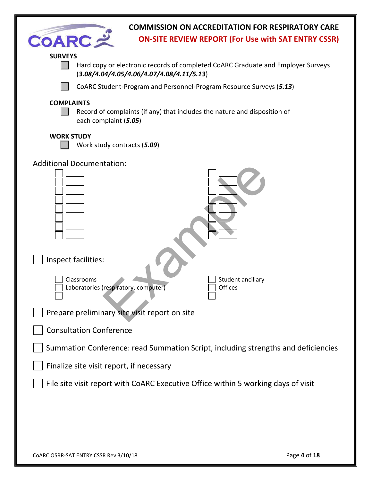| <b>COMMISSION ON ACCREDITATION FOR RESPIRATORY CARE</b><br><b>COARC:</b><br><b>ON-SITE REVIEW REPORT (For Use with SAT ENTRY CSSR)</b>            |
|---------------------------------------------------------------------------------------------------------------------------------------------------|
| <b>SURVEYS</b><br>Hard copy or electronic records of completed CoARC Graduate and Employer Surveys<br>$(3.08/4.04/4.05/4.06/4.07/4.08/4.11/5.13)$ |
| CoARC Student-Program and Personnel-Program Resource Surveys (5.13)                                                                               |
| <b>COMPLAINTS</b><br>Record of complaints (if any) that includes the nature and disposition of<br>each complaint (5.05)                           |
| <b>WORK STUDY</b><br>Work study contracts (5.09)                                                                                                  |
| <b>Additional Documentation:</b><br>Inspect facilities:                                                                                           |
| Student ancillary<br>Classrooms<br>Laboratories (respiratory, computer)<br>Offices                                                                |
| Prepare preliminary site visit report on site                                                                                                     |
| <b>Consultation Conference</b>                                                                                                                    |
| Summation Conference: read Summation Script, including strengths and deficiencies                                                                 |
| Finalize site visit report, if necessary                                                                                                          |
| File site visit report with CoARC Executive Office within 5 working days of visit                                                                 |
|                                                                                                                                                   |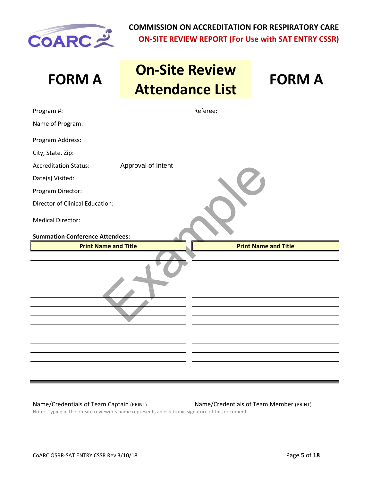

# **FORM A On-Site Review Attendance List FORM A**

| Program #:                                         | Referee:                    |
|----------------------------------------------------|-----------------------------|
| Name of Program:                                   |                             |
| Program Address:                                   |                             |
| City, State, Zip:                                  |                             |
| Approval of Intent<br><b>Accreditation Status:</b> |                             |
| Date(s) Visited:                                   |                             |
| Program Director:                                  |                             |
| <b>Director of Clinical Education:</b>             |                             |
| <b>Medical Director:</b>                           |                             |
| <b>Summation Conference Attendees:</b>             |                             |
| <b>Print Name and Title</b>                        | <b>Print Name and Title</b> |
|                                                    |                             |

Name/Credentials of Team Captain (PRINT) Name/Credentials of Team Member (PRINT) Note: Typing in the on-site reviewer's name represents an electronic signature of this document.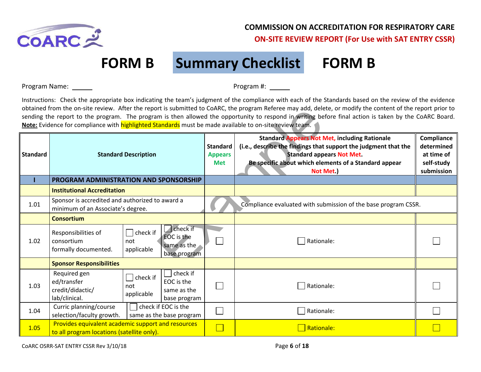

## **FORM B Summary Checklist FORM B**

Program Name: Program #:

Instructions: Check the appropriate box indicating the team's judgment of the compliance with each of the Standards based on the review of the evidence obtained from the on-site review. After the report is submitted to CoARC, the program Referee may add, delete, or modify the content of the report prior to sending the report to the program. The program is then allowed the opportunity to respond in writing before final action is taken by the CoARC Board. **Note:** Evidence for compliance with **highlighted Standards** must be made available to on-site review team.

|                 | optained from the on-site review. After the report is submitted to COARC, the program Referee may add, delete, or modify the content of the report prior to<br>sending the report to the program. The program is then allowed the opportunity to respond in writing before final action is taken by the CoARC Board.<br>Note: Evidence for compliance with highlighted Standards must be made available to on-site review team. |                               |                                                              |                                                 |                                                                                                                                                                                                                                   |                                                                    |  |
|-----------------|---------------------------------------------------------------------------------------------------------------------------------------------------------------------------------------------------------------------------------------------------------------------------------------------------------------------------------------------------------------------------------------------------------------------------------|-------------------------------|--------------------------------------------------------------|-------------------------------------------------|-----------------------------------------------------------------------------------------------------------------------------------------------------------------------------------------------------------------------------------|--------------------------------------------------------------------|--|
| <b>Standard</b> |                                                                                                                                                                                                                                                                                                                                                                                                                                 | <b>Standard Description</b>   |                                                              | <b>Standard</b><br><b>Appears</b><br><b>Met</b> | <b>Standard Appears Not Met, including Rationale</b><br>(i.e., describe the findings that support the judgment that the<br><b>Standard appears Not Met.</b><br>Be specific about which elements of a Standard appear<br>Not Met.) | Compliance<br>determined<br>at time of<br>self-study<br>submission |  |
|                 | PROGRAM ADMINISTRATION AND SPONSORSHIP                                                                                                                                                                                                                                                                                                                                                                                          |                               |                                                              |                                                 |                                                                                                                                                                                                                                   |                                                                    |  |
|                 | <b>Institutional Accreditation</b>                                                                                                                                                                                                                                                                                                                                                                                              |                               |                                                              |                                                 |                                                                                                                                                                                                                                   |                                                                    |  |
| 1.01            | Sponsor is accredited and authorized to award a<br>minimum of an Associate's degree.                                                                                                                                                                                                                                                                                                                                            |                               |                                                              |                                                 | Compliance evaluated with submission of the base program CSSR.                                                                                                                                                                    |                                                                    |  |
|                 | <b>Consortium</b>                                                                                                                                                                                                                                                                                                                                                                                                               |                               |                                                              |                                                 |                                                                                                                                                                                                                                   |                                                                    |  |
| 1.02            | Responsibilities of<br>consortium<br>formally documented.                                                                                                                                                                                                                                                                                                                                                                       | check if<br>not<br>applicable | check if<br><b>EOC</b> is the<br>same as the<br>base program |                                                 | Rationale:                                                                                                                                                                                                                        |                                                                    |  |
|                 | <b>Sponsor Responsibilities</b>                                                                                                                                                                                                                                                                                                                                                                                                 |                               |                                                              |                                                 |                                                                                                                                                                                                                                   |                                                                    |  |
| 1.03            | Required gen<br>ed/transfer<br>credit/didactic/<br>lab/clinical.                                                                                                                                                                                                                                                                                                                                                                | check if<br>not<br>applicable | $ $ check if<br>EOC is the<br>same as the<br>base program    |                                                 | Rationale:                                                                                                                                                                                                                        |                                                                    |  |
| 1.04            | Curric planning/course<br>selection/faculty growth.                                                                                                                                                                                                                                                                                                                                                                             |                               | check if EOC is the<br>same as the base program              |                                                 | Rationale:                                                                                                                                                                                                                        |                                                                    |  |
| 1.05            | Provides equivalent academic support and resources<br>to all program locations (satellite only).                                                                                                                                                                                                                                                                                                                                |                               |                                                              |                                                 | Rationale:                                                                                                                                                                                                                        |                                                                    |  |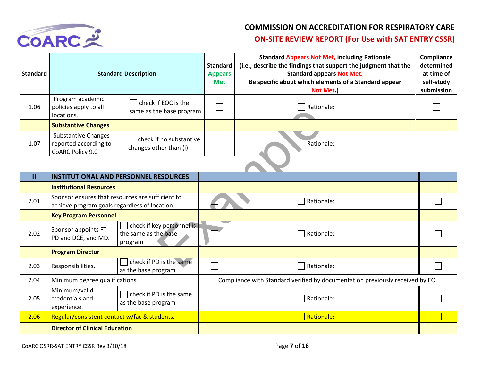

| <b>Standard</b> | <b>Standard Description</b>                                             |                                                   | <b>Standard</b><br><b>Appears</b><br><b>Met</b> | <b>Standard Appears Not Met, including Rationale</b><br>(i.e., describe the findings that support the judgment that the<br><b>Standard appears Not Met.</b><br>Be specific about which elements of a Standard appear<br>Not Met.) | Compliance<br>determined<br>at time of<br>self-study<br>submission |
|-----------------|-------------------------------------------------------------------------|---------------------------------------------------|-------------------------------------------------|-----------------------------------------------------------------------------------------------------------------------------------------------------------------------------------------------------------------------------------|--------------------------------------------------------------------|
| 1.06            | Program academic<br>policies apply to all<br>locations.                 | check if EOC is the<br>same as the base program   |                                                 | Rationale:                                                                                                                                                                                                                        |                                                                    |
|                 | <b>Substantive Changes</b>                                              |                                                   |                                                 |                                                                                                                                                                                                                                   |                                                                    |
| 1.07            | <b>Substantive Changes</b><br>reported according to<br>CoARC Policy 9.0 | check if no substantive<br>changes other than (i) |                                                 | Rationale:                                                                                                                                                                                                                        |                                                                    |

| ⊥.∪∪          | policies apply to all<br>locations.                                                               | same as the base program                                     | ᅟ | $\Box$ national.                                                              |  |
|---------------|---------------------------------------------------------------------------------------------------|--------------------------------------------------------------|---|-------------------------------------------------------------------------------|--|
|               | <b>Substantive Changes</b>                                                                        |                                                              |   |                                                                               |  |
| 1.07          | <b>Substantive Changes</b><br>reported according to<br>CoARC Policy 9.0                           | check if no substantive<br>changes other than (i)            |   | Rationale:                                                                    |  |
|               |                                                                                                   |                                                              |   |                                                                               |  |
| $\mathbf{II}$ | <b>INSTITUTIONAL AND PERSONNEL RESOURCES</b>                                                      |                                                              |   |                                                                               |  |
|               | <b>Institutional Resources</b>                                                                    |                                                              |   |                                                                               |  |
| 2.01          | Sponsor ensures that resources are sufficient to<br>achieve program goals regardless of location. |                                                              |   | Rationale:                                                                    |  |
|               | <b>Key Program Personnel</b>                                                                      |                                                              |   |                                                                               |  |
| 2.02          | Sponsor appoints FT<br>PD and DCE, and MD.                                                        | check if key personnel is<br>the same as the base<br>program |   | Rationale:                                                                    |  |
|               | <b>Program Director</b>                                                                           |                                                              |   |                                                                               |  |
| 2.03          | Responsibilities.                                                                                 | check if PD is the same<br>as the base program               |   | Rationale:                                                                    |  |
| 2.04          | Minimum degree qualifications.                                                                    |                                                              |   | Compliance with Standard verified by documentation previously received by EO. |  |
| 2.05          | Minimum/valid<br>credentials and<br>experience.                                                   | check if PD is the same<br>as the base program               |   | Rationale:                                                                    |  |
| 2.06          | Regular/consistent contact w/fac & students.                                                      |                                                              |   | Rationale:                                                                    |  |
|               | <b>Director of Clinical Education</b>                                                             |                                                              |   |                                                                               |  |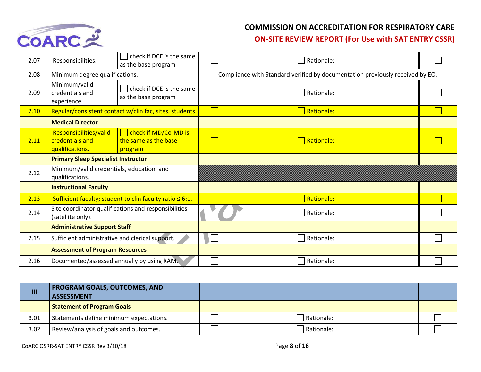

## **COMMISSION ON ACCREDITATION FOR RESPIRATORY CARE**

## **ON-SITE REVIEW REPORT (For Use with SAT ENTRY CSSR)**

| 2.07 | Responsibilities.                                            | check if DCE is the same<br>as the base program                |  | Rationale:                                                                    |  |
|------|--------------------------------------------------------------|----------------------------------------------------------------|--|-------------------------------------------------------------------------------|--|
| 2.08 | Minimum degree qualifications.                               |                                                                |  | Compliance with Standard verified by documentation previously received by EO. |  |
| 2.09 | Minimum/valid<br>credentials and<br>experience.              | check if DCE is the same<br>as the base program                |  | Rationale:                                                                    |  |
| 2.10 |                                                              | Regular/consistent contact w/clin fac, sites, students         |  | Rationale:                                                                    |  |
|      | <b>Medical Director</b>                                      |                                                                |  |                                                                               |  |
| 2.11 | Responsibilities/valid<br>credentials and<br>qualifications. | check if MD/Co-MD is<br>the same as the base<br>program        |  | Rationale:                                                                    |  |
|      | <b>Primary Sleep Specialist Instructor</b>                   |                                                                |  |                                                                               |  |
| 2.12 | Minimum/valid credentials, education, and<br>qualifications. |                                                                |  |                                                                               |  |
|      | <b>Instructional Faculty</b>                                 |                                                                |  |                                                                               |  |
| 2.13 |                                                              | Sufficient faculty; student to clin faculty ratio $\leq 6:1$ . |  | Rationale:                                                                    |  |
| 2.14 | (satellite only).                                            | Site coordinator qualifications and responsibilities           |  | Rationale:                                                                    |  |
|      | <b>Administrative Support Staff</b>                          |                                                                |  |                                                                               |  |
| 2.15 | Sufficient administrative and clerical support.              |                                                                |  | Rationale:                                                                    |  |
|      | <b>Assessment of Program Resources</b>                       |                                                                |  |                                                                               |  |
| 2.16 | Documented/assessed annually by using RAM.                   |                                                                |  | Rationale:                                                                    |  |

| Ш    | <b>PROGRAM GOALS, OUTCOMES, AND</b><br><b>ASSESSMENT</b> |            |  |
|------|----------------------------------------------------------|------------|--|
|      | <b>Statement of Program Goals</b>                        |            |  |
| 3.01 | Statements define minimum expectations.                  | Rationale: |  |
| 3.02 | Review/analysis of goals and outcomes.                   | Rationale: |  |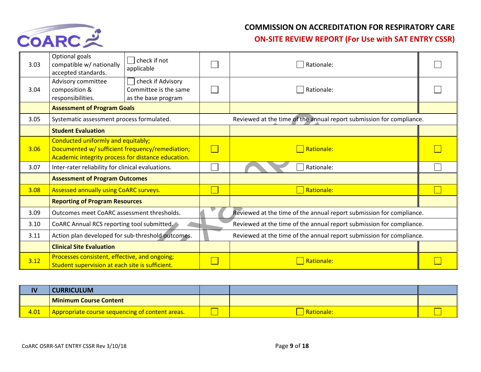

| 3.03 | Optional goals<br>compatible w/ nationally<br>accepted standards.                                                                           | $ $ check if not<br>applicable                                    | Rationale:                                                           |  |  |
|------|---------------------------------------------------------------------------------------------------------------------------------------------|-------------------------------------------------------------------|----------------------------------------------------------------------|--|--|
| 3.04 | Advisory committee<br>composition &<br>responsibilities.                                                                                    | check if Advisory<br>Committee is the same<br>as the base program | Rationale:                                                           |  |  |
|      | <b>Assessment of Program Goals</b>                                                                                                          |                                                                   |                                                                      |  |  |
| 3.05 | Systematic assessment process formulated.                                                                                                   |                                                                   | Reviewed at the time of the annual report submission for compliance. |  |  |
|      | <b>Student Evaluation</b>                                                                                                                   |                                                                   |                                                                      |  |  |
| 3.06 | Conducted uniformly and equitably;<br>Documented w/ sufficient frequency/remediation;<br>Academic integrity process for distance education. |                                                                   | Rationale:                                                           |  |  |
| 3.07 | Inter-rater reliability for clinical evaluations.                                                                                           |                                                                   | Rationale:                                                           |  |  |
|      | <b>Assessment of Program Outcomes</b>                                                                                                       |                                                                   |                                                                      |  |  |
| 3.08 | Assessed annually using CoARC surveys.                                                                                                      |                                                                   | Rationale:                                                           |  |  |
|      | <b>Reporting of Program Resources</b>                                                                                                       |                                                                   |                                                                      |  |  |
| 3.09 | Outcomes meet CoARC assessment thresholds.                                                                                                  |                                                                   | Reviewed at the time of the annual report submission for compliance. |  |  |
| 3.10 | CoARC Annual RCS reporting tool submitted.                                                                                                  |                                                                   | Reviewed at the time of the annual report submission for compliance. |  |  |
| 3.11 | Action plan developed for sub-threshold outcomes.                                                                                           |                                                                   | Reviewed at the time of the annual report submission for compliance. |  |  |
|      | <b>Clinical Site Evaluation</b>                                                                                                             |                                                                   |                                                                      |  |  |
| 3.12 | Processes consistent, effective, and ongoing;<br>Student supervision at each site is sufficient.                                            |                                                                   | Rationale:                                                           |  |  |

| IV   | <b>:URRICULUM</b>                               |           |  |
|------|-------------------------------------------------|-----------|--|
|      | <b>I Minimum Course Content</b>                 |           |  |
| 4.01 | Appropriate course sequencing of content areas. | Rationale |  |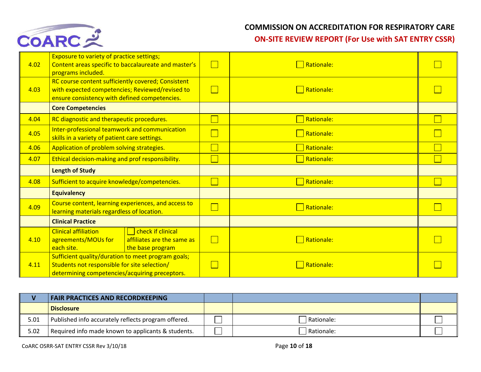

| 4.02 | <b>Exposure to variety of practice settings;</b><br>Content areas specific to baccalaureate and master's<br>programs included.                         |  | Rationale: |  |
|------|--------------------------------------------------------------------------------------------------------------------------------------------------------|--|------------|--|
| 4.03 | RC course content sufficiently covered; Consistent<br>with expected competencies; Reviewed/revised to<br>ensure consistency with defined competencies. |  | Rationale: |  |
|      | <b>Core Competencies</b>                                                                                                                               |  |            |  |
| 4.04 | RC diagnostic and therapeutic procedures.                                                                                                              |  | Rationale: |  |
| 4.05 | Inter-professional teamwork and communication<br>skills in a variety of patient care settings.                                                         |  | Rationale: |  |
| 4.06 | Application of problem solving strategies.                                                                                                             |  | Rationale: |  |
| 4.07 | Ethical decision-making and prof responsibility.                                                                                                       |  | Rationale: |  |
|      | <b>Length of Study</b>                                                                                                                                 |  |            |  |
| 4.08 | Sufficient to acquire knowledge/competencies.                                                                                                          |  | Rationale: |  |
|      | <b>Equivalency</b>                                                                                                                                     |  |            |  |
| 4.09 | Course content, learning experiences, and access to<br>learning materials regardless of location.                                                      |  | Rationale: |  |
|      | <b>Clinical Practice</b>                                                                                                                               |  |            |  |
| 4.10 | check if clinical<br><b>Clinical affiliation</b><br>affiliates are the same as<br>agreements/MOUs for<br>the base program<br>each site.                |  | Rationale: |  |
| 4.11 | Sufficient quality/duration to meet program goals;<br>Students not responsible for site selection/<br>determining competencies/acquiring preceptors.   |  | Rationale: |  |

|      | <b>FAIR PRACTICES AND RECORDKEEPING</b>             |              |  |
|------|-----------------------------------------------------|--------------|--|
|      | Disclosure                                          |              |  |
| 5.01 | Published info accurately reflects program offered. | l Rationale: |  |
| 5.02 | Required info made known to applicants & students.  | l Rationale: |  |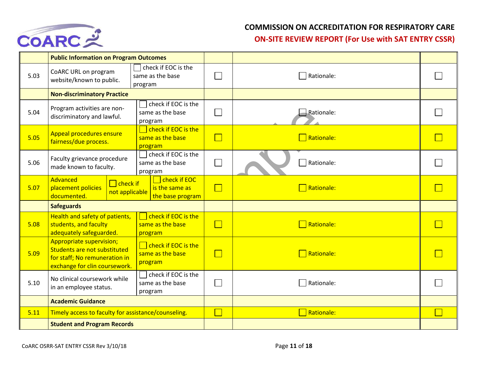

|      | <b>Public Information on Program Outcomes</b>                                                                                     |                                                                             |        |                                     |  |
|------|-----------------------------------------------------------------------------------------------------------------------------------|-----------------------------------------------------------------------------|--------|-------------------------------------|--|
| 5.03 | CoARC URL on program<br>website/known to public.                                                                                  | check if EOC is the<br>same as the base<br>program                          |        | Rationale:                          |  |
|      | <b>Non-discriminatory Practice</b>                                                                                                |                                                                             |        |                                     |  |
| 5.04 | check if EOC is the<br>Program activities are non-<br>same as the base<br>discriminatory and lawful.<br>program                   |                                                                             |        | Rationale:                          |  |
| 5.05 | <b>Appeal procedures ensure</b><br>fairness/due process.                                                                          | check if EOC is the<br>same as the base<br>program                          | $\Box$ | $\Box$ Rationale:                   |  |
| 5.06 | Faculty grievance procedure<br>made known to faculty.                                                                             | $\Box$ check if EOC is the<br>same as the base<br>program                   |        | Rationale:                          |  |
| 5.07 | Advanced<br>$\Box$ check if<br>placement policies<br>not applicable<br>documented.                                                | $\overline{\phantom{a}}$ check if EOC<br>is the same as<br>the base program | $\Box$ | Rationale:                          |  |
|      | <b>Safeguards</b>                                                                                                                 |                                                                             |        |                                     |  |
| 5.08 | Health and safety of patients,<br>students, and faculty<br>adequately safeguarded.                                                | check if EOC is the<br>same as the base<br>program                          | $\Box$ | $\overline{\phantom{a}}$ Rationale: |  |
| 5.09 | <b>Appropriate supervision;</b><br>Students are not substituted<br>for staff; No remuneration in<br>exchange for clin coursework. | $\Box$ check if EOC is the<br>same as the base<br>program                   | $\Box$ | Rationale:                          |  |
| 5.10 | No clinical coursework while<br>in an employee status.                                                                            | check if EOC is the<br>same as the base<br>program                          |        | Rationale:                          |  |
|      | <b>Academic Guidance</b>                                                                                                          |                                                                             |        |                                     |  |
| 5.11 | Timely access to faculty for assistance/counseling.                                                                               |                                                                             | $\Box$ | Rationale:                          |  |
|      | <b>Student and Program Records</b>                                                                                                |                                                                             |        |                                     |  |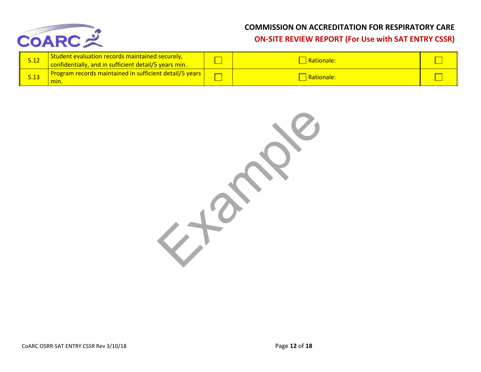

| <u>5.12</u> | Student evaluation records maintained securely,<br>confidentially, and in sufficient detail/5 years min. | <b>Rationale:</b> |  |
|-------------|----------------------------------------------------------------------------------------------------------|-------------------|--|
|             | Program records maintained in sufficient detail/5 years  <br>m <sub>in</sub>                             | Rationale:        |  |

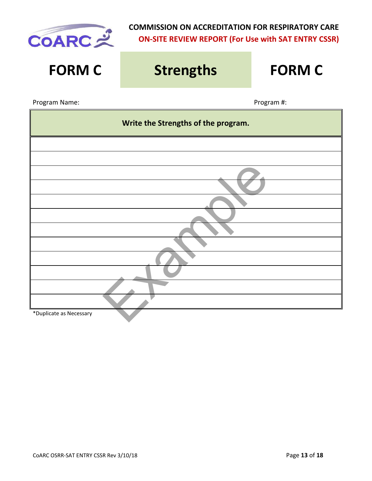

| <b>FORM C</b>           | <b>Strengths</b>                    | <b>FORM C</b> |  |  |  |  |
|-------------------------|-------------------------------------|---------------|--|--|--|--|
| Program Name:           |                                     | Program #:    |  |  |  |  |
|                         | Write the Strengths of the program. |               |  |  |  |  |
|                         |                                     |               |  |  |  |  |
|                         |                                     |               |  |  |  |  |
|                         |                                     |               |  |  |  |  |
|                         |                                     |               |  |  |  |  |
|                         |                                     |               |  |  |  |  |
|                         |                                     |               |  |  |  |  |
|                         |                                     |               |  |  |  |  |
|                         |                                     |               |  |  |  |  |
|                         |                                     |               |  |  |  |  |
|                         |                                     |               |  |  |  |  |
| *Duplicate as Necessary |                                     |               |  |  |  |  |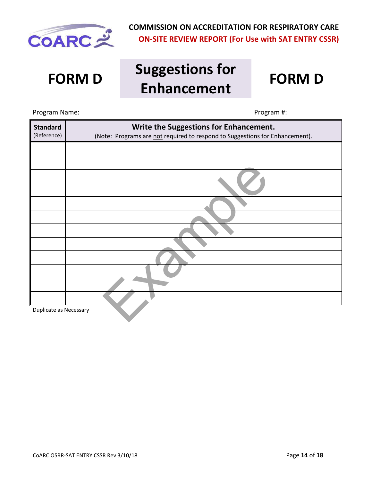

# **FORM D Suggestions for Enhancement FORM D**



Example Program Name: Name: Program #: **Standard** (Reference) **Write the Suggestions for Enhancement.** (Note: Programs are not required to respond to Suggestions for Enhancement). Duplicate as Necessary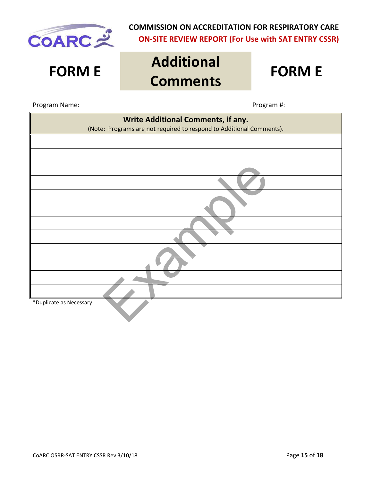

# **FORM E Additional Comments FORM E**

Program Name: Name: Program #: Program #: Program #: Program #: Program #: Program #: Program #: Program #: Program #: Program #: Program #: Program #: Program #: Program #: Program #: Program #: Program #: Program #: Prog

| Write Additional Comments, if any.<br>(Note: Programs are not required to respond to Additional Comments). |
|------------------------------------------------------------------------------------------------------------|
|                                                                                                            |
|                                                                                                            |
|                                                                                                            |
|                                                                                                            |
|                                                                                                            |
|                                                                                                            |
|                                                                                                            |
|                                                                                                            |
|                                                                                                            |
|                                                                                                            |
|                                                                                                            |
| *Duplicate as Necessary                                                                                    |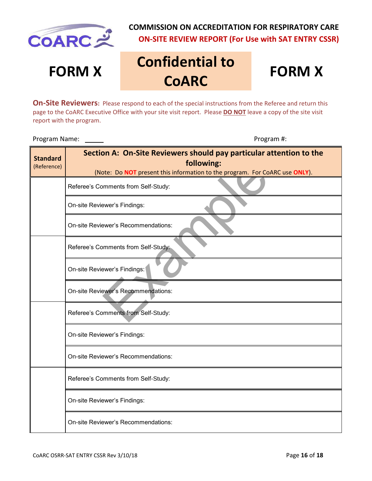

# **FORM X Confidential to COARC**

# **FORM X**

**On-Site Reviewers:** Please respond to each of the special instructions from the Referee and return this page to the CoARC Executive Office with your site visit report. Please **DO NOT** leave a copy of the site visit report with the program.

Program Name: Program #:

| <b>Standard</b><br>(Reference) | Section A: On-Site Reviewers should pay particular attention to the<br>following:<br>(Note: Do NOT present this information to the program. For CoARC use ONLY). |  |  |  |
|--------------------------------|------------------------------------------------------------------------------------------------------------------------------------------------------------------|--|--|--|
|                                | Referee's Comments from Self-Study:                                                                                                                              |  |  |  |
|                                | On-site Reviewer's Findings:                                                                                                                                     |  |  |  |
|                                | On-site Reviewer's Recommendations:                                                                                                                              |  |  |  |
|                                | Referee's Comments from Self-Study:                                                                                                                              |  |  |  |
|                                | On-site Reviewer's Findings:                                                                                                                                     |  |  |  |
|                                | On-site Reviewer's Recommendations:                                                                                                                              |  |  |  |
|                                | Referee's Comments from Self-Study:                                                                                                                              |  |  |  |
|                                | On-site Reviewer's Findings:                                                                                                                                     |  |  |  |
|                                | On-site Reviewer's Recommendations:                                                                                                                              |  |  |  |
|                                | Referee's Comments from Self-Study:                                                                                                                              |  |  |  |
|                                | On-site Reviewer's Findings:                                                                                                                                     |  |  |  |
|                                | On-site Reviewer's Recommendations:                                                                                                                              |  |  |  |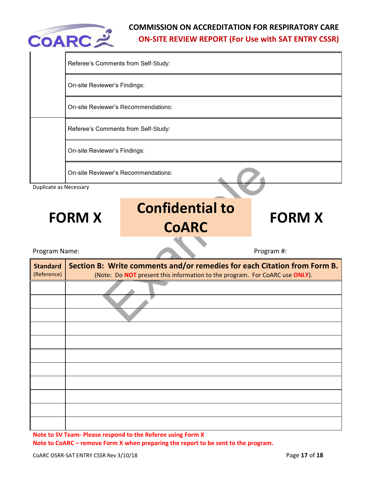

|                                | Referee's Comments from Self-Study: |                                                                                                                                                         |               |  |  |  |  |
|--------------------------------|-------------------------------------|---------------------------------------------------------------------------------------------------------------------------------------------------------|---------------|--|--|--|--|
|                                | On-site Reviewer's Findings:        |                                                                                                                                                         |               |  |  |  |  |
|                                | On-site Reviewer's Recommendations: |                                                                                                                                                         |               |  |  |  |  |
|                                | Referee's Comments from Self-Study: |                                                                                                                                                         |               |  |  |  |  |
|                                | On-site Reviewer's Findings:        |                                                                                                                                                         |               |  |  |  |  |
|                                |                                     | <b>On-site Reviewer's Recommendations:</b>                                                                                                              |               |  |  |  |  |
| Duplicate as Necessary         |                                     |                                                                                                                                                         |               |  |  |  |  |
|                                | <b>FORM X</b>                       | <b>Confidential to</b><br><b>CoARC</b>                                                                                                                  | <b>FORM X</b> |  |  |  |  |
|                                |                                     |                                                                                                                                                         |               |  |  |  |  |
| Program Name:                  |                                     |                                                                                                                                                         | Program #:    |  |  |  |  |
| <b>Standard</b><br>(Reference) |                                     | Section B: Write comments and/or remedies for each Citation from Form B.<br>(Note: Do NOT present this information to the program. For CoARC use ONLY). |               |  |  |  |  |
|                                |                                     |                                                                                                                                                         |               |  |  |  |  |

**Note to CoARC – remove Form X when preparing the report to be sent to the program.**